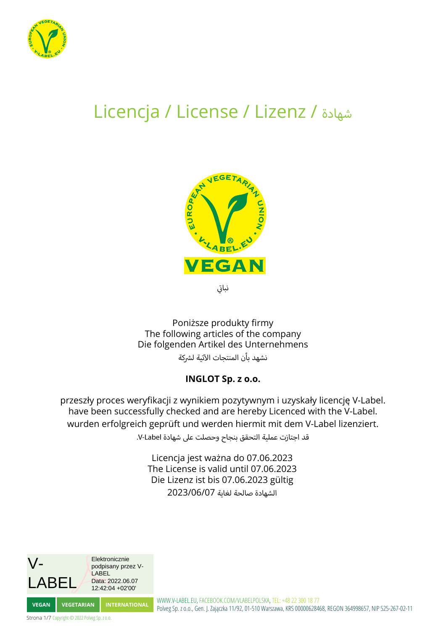

## Licencja / License / Lizenz / شهادة



ي ت نباتى

Poniższe produkty firmy The following articles of the company Die folgenden Artikel des Unternehmens .<br>نشهد بأن المنتجات الآتية لشركة

## **INGLOT Sp. z o.o.**

przeszły proces weryfikacji z wynikiem pozytywnym i uzyskały licencję V-Label. have been successfully checked and are hereby Licenced with the V-Label. wurden erfolgreich geprüft und werden hiermit mit dem V-Label lizenziert.

قد اجتازت عملية التحقق بنجاح وحصلت عىل شهادة Label-V.

Licencja jest ważna do 07.06.2023 The License is valid until 07.06.2023 Die Lizenz ist bis 07.06.2023 gültig الشهادة صالحة لغاية 2023/06/07

V-ABE Elektronicznie podpisany przez V-LABEL Data: 2022.06.07 12:42:04 +02'00'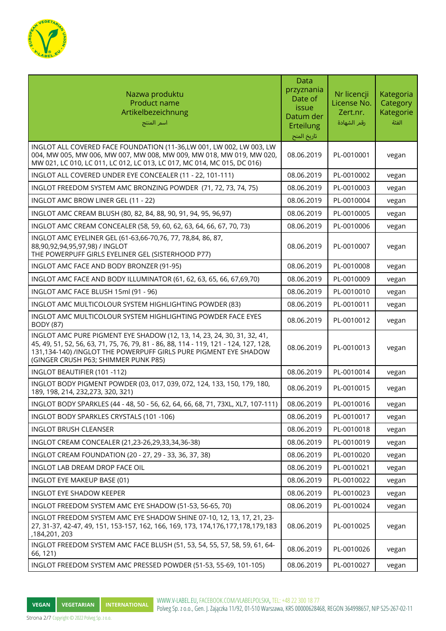

| Nazwa produktu<br>Product name<br>Artikelbezeichnung<br>أسم المنتج                                                                                                                                                                                                          | <b>Data</b><br>przyznania<br>Date of<br>issue<br>Datum der<br>Erteilung<br>تاريخ المنح | Nr licencji<br>License No.<br>Zert.nr.<br>رقم الشهادة | Kategoria<br>Category<br>Kategorie<br>الفئة |
|-----------------------------------------------------------------------------------------------------------------------------------------------------------------------------------------------------------------------------------------------------------------------------|----------------------------------------------------------------------------------------|-------------------------------------------------------|---------------------------------------------|
| INGLOT ALL COVERED FACE FOUNDATION (11-36,LW 001, LW 002, LW 003, LW<br>004, MW 005, MW 006, MW 007, MW 008, MW 009, MW 018, MW 019, MW 020,<br>MW 021, LC 010, LC 011, LC 012, LC 013, LC 017, MC 014, MC 015, DC 016)                                                     | 08.06.2019                                                                             | PL-0010001                                            | vegan                                       |
| INGLOT ALL COVERED UNDER EYE CONCEALER (11 - 22, 101-111)                                                                                                                                                                                                                   | 08.06.2019                                                                             | PL-0010002                                            | vegan                                       |
| INGLOT FREEDOM SYSTEM AMC BRONZING POWDER (71, 72, 73, 74, 75)                                                                                                                                                                                                              | 08.06.2019                                                                             | PL-0010003                                            | vegan                                       |
| INGLOT AMC BROW LINER GEL (11 - 22)                                                                                                                                                                                                                                         | 08.06.2019                                                                             | PL-0010004                                            | vegan                                       |
| INGLOT AMC CREAM BLUSH (80, 82, 84, 88, 90, 91, 94, 95, 96, 97)                                                                                                                                                                                                             | 08.06.2019                                                                             | PL-0010005                                            | vegan                                       |
| INGLOT AMC CREAM CONCEALER (58, 59, 60, 62, 63, 64, 66, 67, 70, 73)                                                                                                                                                                                                         | 08.06.2019                                                                             | PL-0010006                                            | vegan                                       |
| INGLOT AMC EYELINER GEL (61-63,66-70,76, 77, 78,84, 86, 87,<br>88,90,92,94,95,97,98) / INGLOT<br>THE POWERPUFF GIRLS EYELINER GEL (SISTERHOOD P77)                                                                                                                          | 08.06.2019                                                                             | PL-0010007                                            | vegan                                       |
| INGLOT AMC FACE AND BODY BRONZER (91-95)                                                                                                                                                                                                                                    | 08.06.2019                                                                             | PL-0010008                                            | vegan                                       |
| INGLOT AMC FACE AND BODY ILLUMINATOR (61, 62, 63, 65, 66, 67,69,70)                                                                                                                                                                                                         | 08.06.2019                                                                             | PL-0010009                                            | vegan                                       |
| INGLOT AMC FACE BLUSH 15ml (91 - 96)                                                                                                                                                                                                                                        | 08.06.2019                                                                             | PL-0010010                                            | vegan                                       |
| INGLOT AMC MULTICOLOUR SYSTEM HIGHLIGHTING POWDER (83)                                                                                                                                                                                                                      | 08.06.2019                                                                             | PL-0010011                                            | vegan                                       |
| INGLOT AMC MULTICOLOUR SYSTEM HIGHLIGHTING POWDER FACE EYES<br><b>BODY (87)</b>                                                                                                                                                                                             | 08.06.2019                                                                             | PL-0010012                                            | vegan                                       |
| INGLOT AMC PURE PIGMENT EYE SHADOW (12, 13, 14, 23, 24, 30, 31, 32, 41,<br>45, 49, 51, 52, 56, 63, 71, 75, 76, 79, 81 - 86, 88, 114 - 119, 121 - 124, 127, 128,<br>131,134-140) /INGLOT THE POWERPUFF GIRLS PURE PIGMENT EYE SHADOW<br>(GINGER CRUSH P63; SHIMMER PUNK P85) | 08.06.2019                                                                             | PL-0010013                                            | vegan                                       |
| INGLOT BEAUTIFIER (101-112)                                                                                                                                                                                                                                                 | 08.06.2019                                                                             | PL-0010014                                            | vegan                                       |
| INGLOT BODY PIGMENT POWDER (03, 017, 039, 072, 124, 133, 150, 179, 180,<br>189, 198, 214, 232, 273, 320, 321)                                                                                                                                                               | 08.06.2019                                                                             | PL-0010015                                            | vegan                                       |
| INGLOT BODY SPARKLES (44 - 48, 50 - 56, 62, 64, 66, 68, 71, 73XL, XL7, 107-111)                                                                                                                                                                                             | 08.06.2019                                                                             | PL-0010016                                            | vegan                                       |
| INGLOT BODY SPARKLES CRYSTALS (101-106)                                                                                                                                                                                                                                     | 08.06.2019                                                                             | PL-0010017                                            | vegan                                       |
| <b>INGLOT BRUSH CLEANSER</b>                                                                                                                                                                                                                                                | 08.06.2019                                                                             | PL-0010018                                            | vegan                                       |
| INGLOT CREAM CONCEALER (21,23-26,29,33,34,36-38)                                                                                                                                                                                                                            | 08.06.2019                                                                             | PL-0010019                                            | vegan                                       |
| INGLOT CREAM FOUNDATION (20 - 27, 29 - 33, 36, 37, 38)                                                                                                                                                                                                                      | 08.06.2019                                                                             | PL-0010020                                            | vegan                                       |
| INGLOT LAB DREAM DROP FACE OIL                                                                                                                                                                                                                                              | 08.06.2019                                                                             | PL-0010021                                            | vegan                                       |
| INGLOT EYE MAKEUP BASE (01)                                                                                                                                                                                                                                                 | 08.06.2019                                                                             | PL-0010022                                            | vegan                                       |
| <b>INGLOT EYE SHADOW KEEPER</b>                                                                                                                                                                                                                                             | 08.06.2019                                                                             | PL-0010023                                            | vegan                                       |
| INGLOT FREEDOM SYSTEM AMC EYE SHADOW (51-53, 56-65, 70)                                                                                                                                                                                                                     | 08.06.2019                                                                             | PL-0010024                                            | vegan                                       |
| INGLOT FREEDOM SYSTEM AMC EYE SHADOW SHINE 07-10, 12, 13, 17, 21, 23-<br>27, 31-37, 42-47, 49, 151, 153-157, 162, 166, 169, 173, 174, 176, 177, 178, 179, 183<br>,184,201, 203                                                                                              | 08.06.2019                                                                             | PL-0010025                                            | vegan                                       |
| INGLOT FREEDOM SYSTEM AMC FACE BLUSH (51, 53, 54, 55, 57, 58, 59, 61, 64-<br>66, 121)                                                                                                                                                                                       | 08.06.2019                                                                             | PL-0010026                                            | vegan                                       |
| INGLOT FREEDOM SYSTEM AMC PRESSED POWDER (51-53, 55-69, 101-105)                                                                                                                                                                                                            | 08.06.2019                                                                             | PL-0010027                                            | vegan                                       |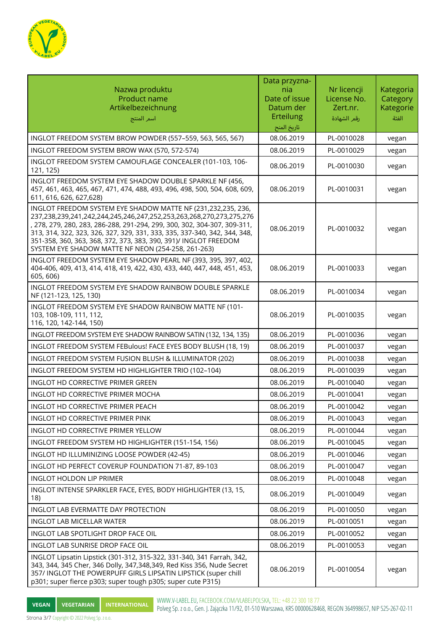

| Nazwa produktu<br><b>Product name</b><br>Artikelbezeichnung<br>اسم المنتج                                                                                                                                                                                                                                                                                                                                              | Data przyzna-<br>nia<br>Date of issue<br>Datum der<br><b>Erteilung</b><br>تاريخ المنح | Nr licencji<br>License No.<br>Zert.nr.<br>رقم الشهادة | Kategoria<br>Category<br>Kategorie<br>الفئة |
|------------------------------------------------------------------------------------------------------------------------------------------------------------------------------------------------------------------------------------------------------------------------------------------------------------------------------------------------------------------------------------------------------------------------|---------------------------------------------------------------------------------------|-------------------------------------------------------|---------------------------------------------|
| INGLOT FREEDOM SYSTEM BROW POWDER (557-559, 563, 565, 567)                                                                                                                                                                                                                                                                                                                                                             | 08.06.2019                                                                            | PL-0010028                                            | vegan                                       |
| INGLOT FREEDOM SYSTEM BROW WAX (570, 572-574)                                                                                                                                                                                                                                                                                                                                                                          | 08.06.2019                                                                            | PL-0010029                                            | vegan                                       |
| INGLOT FREEDOM SYSTEM CAMOUFLAGE CONCEALER (101-103, 106-<br>121, 125)                                                                                                                                                                                                                                                                                                                                                 | 08.06.2019                                                                            | PL-0010030                                            | vegan                                       |
| INGLOT FREEDOM SYSTEM EYE SHADOW DOUBLE SPARKLE NF (456,<br>457, 461, 463, 465, 467, 471, 474, 488, 493, 496, 498, 500, 504, 608, 609,<br>611, 616, 626, 627, 628)                                                                                                                                                                                                                                                     | 08.06.2019                                                                            | PL-0010031                                            | vegan                                       |
| INGLOT FREEDOM SYSTEM EYE SHADOW MATTE NF (231,232,235, 236,<br>237,238,239,241,242,244,245,246,247,252,253,263,268,270,273,275,276<br>, 278, 279, 280, 283, 286-288, 291-294, 299, 300, 302, 304-307, 309-311,<br>313, 314, 322, 323, 326, 327, 329, 331, 333, 335, 337-340, 342, 344, 348,<br>351-358, 360, 363, 368, 372, 373, 383, 390, 391)/ INGLOT FREEDOM<br>SYSTEM EYE SHADOW MATTE NF NEON (254-258, 261-263) | 08.06.2019                                                                            | PL-0010032                                            | vegan                                       |
| INGLOT FREEDOM SYSTEM EYE SHADOW PEARL NF (393, 395, 397, 402,<br>404-406, 409, 413, 414, 418, 419, 422, 430, 433, 440, 447, 448, 451, 453,<br>605, 606)                                                                                                                                                                                                                                                               | 08.06.2019                                                                            | PL-0010033                                            | vegan                                       |
| INGLOT FREEDOM SYSTEM EYE SHADOW RAINBOW DOUBLE SPARKLE<br>NF (121-123, 125, 130)                                                                                                                                                                                                                                                                                                                                      | 08.06.2019                                                                            | PL-0010034                                            | vegan                                       |
| INGLOT FREEDOM SYSTEM EYE SHADOW RAINBOW MATTE NF (101-<br>103, 108-109, 111, 112,<br>116, 120, 142-144, 150)                                                                                                                                                                                                                                                                                                          | 08.06.2019                                                                            | PL-0010035                                            | vegan                                       |
| INGLOT FREEDOM SYSTEM EYE SHADOW RAINBOW SATIN (132, 134, 135)                                                                                                                                                                                                                                                                                                                                                         | 08.06.2019                                                                            | PL-0010036                                            | vegan                                       |
| INGLOT FREEDOM SYSTEM FEBulous! FACE EYES BODY BLUSH (18, 19)                                                                                                                                                                                                                                                                                                                                                          | 08.06.2019                                                                            | PL-0010037                                            | vegan                                       |
| INGLOT FREEDOM SYSTEM FUSION BLUSH & ILLUMINATOR (202)                                                                                                                                                                                                                                                                                                                                                                 | 08.06.2019                                                                            | PL-0010038                                            | vegan                                       |
| INGLOT FREEDOM SYSTEM HD HIGHLIGHTER TRIO (102-104)                                                                                                                                                                                                                                                                                                                                                                    | 08.06.2019                                                                            | PL-0010039                                            | vegan                                       |
| INGLOT HD CORRECTIVE PRIMER GREEN                                                                                                                                                                                                                                                                                                                                                                                      | 08.06.2019                                                                            | PL-0010040                                            | vegan                                       |
| INGLOT HD CORRECTIVE PRIMER MOCHA                                                                                                                                                                                                                                                                                                                                                                                      | 08.06.2019                                                                            | PL-0010041                                            | vegan                                       |
| INGLOT HD CORRECTIVE PRIMER PEACH                                                                                                                                                                                                                                                                                                                                                                                      | 08.06.2019                                                                            | PL-0010042                                            | vegan                                       |
| INGLOT HD CORRECTIVE PRIMER PINK                                                                                                                                                                                                                                                                                                                                                                                       | 08.06.2019                                                                            | PL-0010043                                            | vegan                                       |
| INGLOT HD CORRECTIVE PRIMER YELLOW                                                                                                                                                                                                                                                                                                                                                                                     | 08.06.2019                                                                            | PL-0010044                                            | vegan                                       |
| INGLOT FREEDOM SYSTEM HD HIGHLIGHTER (151-154, 156)                                                                                                                                                                                                                                                                                                                                                                    | 08.06.2019                                                                            | PL-0010045                                            | vegan                                       |
| INGLOT HD ILLUMINIZING LOOSE POWDER (42-45)                                                                                                                                                                                                                                                                                                                                                                            | 08.06.2019                                                                            | PL-0010046                                            | vegan                                       |
| INGLOT HD PERFECT COVERUP FOUNDATION 71-87, 89-103                                                                                                                                                                                                                                                                                                                                                                     | 08.06.2019                                                                            | PL-0010047                                            | vegan                                       |
| <b>INGLOT HOLDON LIP PRIMER</b>                                                                                                                                                                                                                                                                                                                                                                                        | 08.06.2019                                                                            | PL-0010048                                            | vegan                                       |
| INGLOT INTENSE SPARKLER FACE, EYES, BODY HIGHLIGHTER (13, 15,<br>18)                                                                                                                                                                                                                                                                                                                                                   | 08.06.2019                                                                            | PL-0010049                                            | vegan                                       |
| INGLOT LAB EVERMATTE DAY PROTECTION                                                                                                                                                                                                                                                                                                                                                                                    | 08.06.2019                                                                            | PL-0010050                                            | vegan                                       |
| <b>INGLOT LAB MICELLAR WATER</b>                                                                                                                                                                                                                                                                                                                                                                                       | 08.06.2019                                                                            | PL-0010051                                            | vegan                                       |
| INGLOT LAB SPOTLIGHT DROP FACE OIL                                                                                                                                                                                                                                                                                                                                                                                     | 08.06.2019                                                                            | PL-0010052                                            | vegan                                       |
| INGLOT LAB SUNRISE DROP FACE OIL                                                                                                                                                                                                                                                                                                                                                                                       | 08.06.2019                                                                            | PL-0010053                                            | vegan                                       |
| INGLOT Lipsatin Lipstick (301-312, 315-322, 331-340, 341 Farrah, 342,<br>343, 344, 345 Cher, 346 Dolly, 347, 348, 349, Red Kiss 356, Nude Secret<br>357/ INGLOT THE POWERPUFF GIRLS LIPSATIN LIPSTICK (super chill<br>p301; super fierce p303; super tough p305; super cute P315)                                                                                                                                      | 08.06.2019                                                                            | PL-0010054                                            | vegan                                       |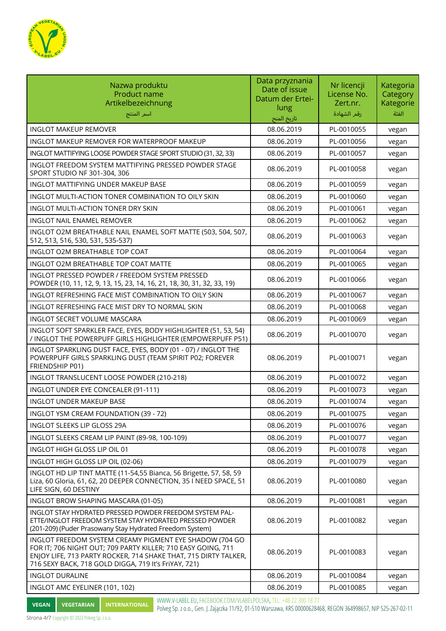

| Nazwa produktu<br>Product name<br>Artikelbezeichnung<br>اسم المنتج                                                                                                                                                                                 | Data przyznania<br>Date of issue<br>Datum der Ertei-<br>lung<br>تاريخ المنح | Nr licencji<br>License No.<br>Zert.nr.<br>رقم الشهادة | Kategoria<br>Category<br>Kategorie<br>الفئة |
|----------------------------------------------------------------------------------------------------------------------------------------------------------------------------------------------------------------------------------------------------|-----------------------------------------------------------------------------|-------------------------------------------------------|---------------------------------------------|
| <b>INGLOT MAKEUP REMOVER</b>                                                                                                                                                                                                                       | 08.06.2019                                                                  | PL-0010055                                            | vegan                                       |
| INGLOT MAKEUP REMOVER FOR WATERPROOF MAKEUP                                                                                                                                                                                                        | 08.06.2019                                                                  | PL-0010056                                            | vegan                                       |
| INGLOT MATTIFYING LOOSE POWDER STAGE SPORT STUDIO (31, 32, 33)                                                                                                                                                                                     | 08.06.2019                                                                  | PL-0010057                                            | vegan                                       |
| INGLOT FREEDOM SYSTEM MATTIFYING PRESSED POWDER STAGE<br>SPORT STUDIO NF 301-304, 306                                                                                                                                                              | 08.06.2019                                                                  | PL-0010058                                            | vegan                                       |
| INGLOT MATTIFYING UNDER MAKEUP BASE                                                                                                                                                                                                                | 08.06.2019                                                                  | PL-0010059                                            | vegan                                       |
| INGLOT MULTI-ACTION TONER COMBINATION TO OILY SKIN                                                                                                                                                                                                 | 08.06.2019                                                                  | PL-0010060                                            | vegan                                       |
| INGLOT MULTI-ACTION TONER DRY SKIN                                                                                                                                                                                                                 | 08.06.2019                                                                  | PL-0010061                                            | vegan                                       |
| INGLOT NAIL ENAMEL REMOVER                                                                                                                                                                                                                         | 08.06.2019                                                                  | PL-0010062                                            | vegan                                       |
| INGLOT O2M BREATHABLE NAIL ENAMEL SOFT MATTE (503, 504, 507,<br>512, 513, 516, 530, 531, 535-537)                                                                                                                                                  | 08.06.2019                                                                  | PL-0010063                                            | vegan                                       |
| INGLOT O2M BREATHABLE TOP COAT                                                                                                                                                                                                                     | 08.06.2019                                                                  | PL-0010064                                            | vegan                                       |
| INGLOT O2M BREATHABLE TOP COAT MATTE                                                                                                                                                                                                               | 08.06.2019                                                                  | PL-0010065                                            | vegan                                       |
| INGLOT PRESSED POWDER / FREEDOM SYSTEM PRESSED<br>POWDER (10, 11, 12, 9, 13, 15, 23, 14, 16, 21, 18, 30, 31, 32, 33, 19)                                                                                                                           | 08.06.2019                                                                  | PL-0010066                                            | vegan                                       |
| INGLOT REFRESHING FACE MIST COMBINATION TO OILY SKIN                                                                                                                                                                                               | 08.06.2019                                                                  | PL-0010067                                            | vegan                                       |
| INGLOT REFRESHING FACE MIST DRY TO NORMAL SKIN                                                                                                                                                                                                     | 08.06.2019                                                                  | PL-0010068                                            | vegan                                       |
| <b>INGLOT SECRET VOLUME MASCARA</b>                                                                                                                                                                                                                | 08.06.2019                                                                  | PL-0010069                                            | vegan                                       |
| INGLOT SOFT SPARKLER FACE, EYES, BODY HIGHLIGHTER (51, 53, 54)<br>/ INGLOT THE POWERPUFF GIRLS HIGHLIGHTER (EMPOWERPUFF P51)                                                                                                                       | 08.06.2019                                                                  | PL-0010070                                            | vegan                                       |
| INGLOT SPARKLING DUST FACE, EYES, BODY (01 - 07) / INGLOT THE<br>POWERPUFF GIRLS SPARKLING DUST (TEAM SPIRIT P02; FOREVER<br>FRIENDSHIP P01)                                                                                                       | 08.06.2019                                                                  | PL-0010071                                            | vegan                                       |
| INGLOT TRANSLUCENT LOOSE POWDER (210-218)                                                                                                                                                                                                          | 08.06.2019                                                                  | PL-0010072                                            | vegan                                       |
| INGLOT UNDER EYE CONCEALER (91-111)                                                                                                                                                                                                                | 08.06.2019                                                                  | PL-0010073                                            | vegan                                       |
| <b>INGLOT UNDER MAKEUP BASE</b>                                                                                                                                                                                                                    | 08.06.2019                                                                  | PL-0010074                                            | vegan                                       |
| INGLOT YSM CREAM FOUNDATION (39 - 72)                                                                                                                                                                                                              | 08.06.2019                                                                  | PL-0010075                                            | vegan                                       |
| INGLOT SLEEKS LIP GLOSS 29A                                                                                                                                                                                                                        | 08.06.2019                                                                  | PL-0010076                                            | vegan                                       |
| INGLOT SLEEKS CREAM LIP PAINT (89-98, 100-109)                                                                                                                                                                                                     | 08.06.2019                                                                  | PL-0010077                                            | vegan                                       |
| INGLOT HIGH GLOSS LIP OIL 01                                                                                                                                                                                                                       | 08.06.2019                                                                  | PL-0010078                                            | vegan                                       |
| INGLOT HIGH GLOSS LIP OIL (02-06)                                                                                                                                                                                                                  | 08.06.2019                                                                  | PL-0010079                                            | vegan                                       |
| INGLOT HD LIP TINT MATTE (11-54,55 Bianca, 56 Brigette, 57, 58, 59<br>Liza, 60 Gloria, 61, 62, 20 DEEPER CONNECTION, 35 I NEED SPACE, 51<br>LIFE SIGN, 60 DESTINY                                                                                  | 08.06.2019                                                                  | PL-0010080                                            | vegan                                       |
| INGLOT BROW SHAPING MASCARA (01-05)                                                                                                                                                                                                                | 08.06.2019                                                                  | PL-0010081                                            | vegan                                       |
| INGLOT STAY HYDRATED PRESSED POWDER FREEDOM SYSTEM PAL-<br>ETTE/INGLOT FREEDOM SYSTEM STAY HYDRATED PRESSED POWDER<br>(201-209) (Puder Prasowany Stay Hydrated Freedom System)                                                                     | 08.06.2019                                                                  | PL-0010082                                            | vegan                                       |
| INGLOT FREEDOM SYSTEM CREAMY PIGMENT EYE SHADOW (704 GO<br>FOR IT; 706 NIGHT OUT; 709 PARTY KILLER; 710 EASY GOING, 711<br>ENJOY LIFE, 713 PARTY ROCKER, 714 SHAKE THAT, 715 DIRTY TALKER,<br>716 SEXY BACK, 718 GOLD DIGGA, 719 It's FriYAY, 721) | 08.06.2019                                                                  | PL-0010083                                            | vegan                                       |
| <b>INGLOT DURALINE</b>                                                                                                                                                                                                                             | 08.06.2019                                                                  | PL-0010084                                            | vegan                                       |
| INGLOT AMC EYELINER (101, 102)                                                                                                                                                                                                                     | 08.06.2019                                                                  | PL-0010085                                            | vegan                                       |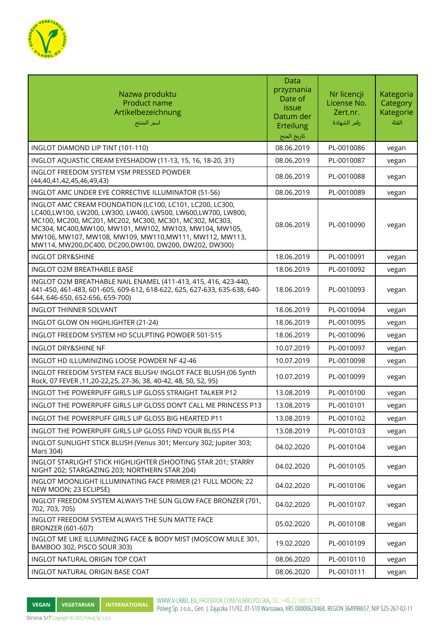

| Nazwa produktu<br>Product name<br>Artikelbezeichnung<br>اسم المنتج                                                                                                                                                                                                                                                                                                 | Data<br>przyznania<br>Date of<br>issue<br>Datum der<br>Erteilung<br>تاريخ المنح | Nr licencji<br>License No.<br>Zert.nr.<br>رقم الشهادة | Kategoria<br>Category<br>Kategorie<br>الفئة |
|--------------------------------------------------------------------------------------------------------------------------------------------------------------------------------------------------------------------------------------------------------------------------------------------------------------------------------------------------------------------|---------------------------------------------------------------------------------|-------------------------------------------------------|---------------------------------------------|
| INGLOT DIAMOND LIP TINT (101-110)                                                                                                                                                                                                                                                                                                                                  | 08.06.2019                                                                      | PL-0010086                                            | vegan                                       |
| INGLOT AQUASTIC CREAM EYESHADOW (11-13, 15, 16, 18-20, 31)                                                                                                                                                                                                                                                                                                         | 08.06.2019                                                                      | PL-0010087                                            | vegan                                       |
| INGLOT FREEDOM SYSTEM YSM PRESSED POWDER<br>(44,40,41,42,45,46,49,43)                                                                                                                                                                                                                                                                                              | 08.06.2019                                                                      | PL-0010088                                            | vegan                                       |
| INGLOT AMC UNDER EYE CORRECTIVE ILLUMINATOR (51-56)                                                                                                                                                                                                                                                                                                                | 08.06.2019                                                                      | PL-0010089                                            | vegan                                       |
| INGLOT AMC CREAM FOUNDATION (LC100, LC101, LC200, LC300,<br>LC400,LW100, LW200, LW300, LW400, LW500, LW600,LW700, LW800,<br>MC100, MC200, MC201, MC202, MC300, MC301, MC302, MC303,<br>MC304, MC400, MW100, MW101, MW102, MW103, MW104, MW105,<br>MW106, MW107, MW108, MW109, MW110, MW111, MW112, MW113,<br>MW114, MW200,DC400, DC200,DW100, DW200, DW202, DW300) | 08.06.2019                                                                      | PL-0010090                                            | vegan                                       |
| <b>INGLOT DRY&amp;SHINE</b>                                                                                                                                                                                                                                                                                                                                        | 18.06.2019                                                                      | PL-0010091                                            | vegan                                       |
| <b>INGLOT O2M BREATHABLE BASE</b>                                                                                                                                                                                                                                                                                                                                  | 18.06.2019                                                                      | PL-0010092                                            | vegan                                       |
| INGLOT O2M BREATHABLE NAIL ENAMEL (411-413, 415, 416, 423-440,<br>441-450, 461-483, 601-605, 609-612, 618-622, 625, 627-633, 635-638, 640-<br>644, 646-650, 652-656, 659-700)                                                                                                                                                                                      | 18.06.2019                                                                      | PL-0010093                                            | vegan                                       |
| <b>INGLOT THINNER SOLVANT</b>                                                                                                                                                                                                                                                                                                                                      | 18.06.2019                                                                      | PL-0010094                                            | vegan                                       |
| INGLOT GLOW ON HIGHLIGHTER (21-24)                                                                                                                                                                                                                                                                                                                                 | 18.06.2019                                                                      | PL-0010095                                            | vegan                                       |
| INGLOT FREEDOM SYSTEM HD SCULPTING POWDER 501-515                                                                                                                                                                                                                                                                                                                  | 18.06.2019                                                                      | PL-0010096                                            | vegan                                       |
| <b>INGLOT DRY&amp;SHINE NF</b>                                                                                                                                                                                                                                                                                                                                     | 10.07.2019                                                                      | PL-0010097                                            | vegan                                       |
| INGLOT HD ILLUMINIZING LOOSE POWDER NF 42-46                                                                                                                                                                                                                                                                                                                       | 10.07.2019                                                                      | PL-0010098                                            | vegan                                       |
| INGLOT FREEDOM SYSTEM FACE BLUSH/ INGLOT FACE BLUSH (06 Synth<br>Rock, 07 FEVER, 11, 20-22, 25, 27-36, 38, 40-42, 48, 50, 52, 95)                                                                                                                                                                                                                                  | 10.07.2019                                                                      | PL-0010099                                            | vegan                                       |
| INGLOT THE POWERPUFF GIRLS LIP GLOSS STRAIGHT TALKER P12                                                                                                                                                                                                                                                                                                           | 13.08.2019                                                                      | PL-0010100                                            | vegan                                       |
| INGLOT THE POWERPUFF GIRLS LIP GLOSS DON'T CALL ME PRINCESS P13                                                                                                                                                                                                                                                                                                    | 13.08.2019                                                                      | PL-0010101                                            | vegan                                       |
| INGLOT THE POWERPUFF GIRLS LIP GLOSS BIG HEARTED P11                                                                                                                                                                                                                                                                                                               | 13.08.2019                                                                      | PL-0010102                                            | vegan                                       |
| INGLOT THE POWERPUFF GIRLS LIP GLOSS FIND YOUR BLISS P14                                                                                                                                                                                                                                                                                                           | 13.08.2019                                                                      | PL-0010103                                            | vegan                                       |
| INGLOT SUNLIGHT STICK BLUSH (Venus 301; Mercury 302; Jupiter 303;<br>Mars 304)                                                                                                                                                                                                                                                                                     | 04.02.2020                                                                      | PL-0010104                                            | vegan                                       |
| INGLOT STARLIGHT STICK HIGHLIGHTER (SHOOTING STAR 201; STARRY<br>NIGHT 202; STARGAZING 203; NORTHERN STAR 204)                                                                                                                                                                                                                                                     | 04.02.2020                                                                      | PL-0010105                                            | vegan                                       |
| INGLOT MOONLIGHT ILLUMINATING FACE PRIMER (21 FULL MOON; 22<br>NEW MOON; 23 ECLIPSE)                                                                                                                                                                                                                                                                               | 04.02.2020                                                                      | PL-0010106                                            | vegan                                       |
| INGLOT FREEDOM SYSTEM ALWAYS THE SUN GLOW FACE BRONZER (701,<br>702, 703, 705)                                                                                                                                                                                                                                                                                     | 04.02.2020                                                                      | PL-0010107                                            | vegan                                       |
| INGLOT FREEDOM SYSTEM ALWAYS THE SUN MATTE FACE<br>BRONZER (601-607)                                                                                                                                                                                                                                                                                               | 05.02.2020                                                                      | PL-0010108                                            | vegan                                       |
| INGLOT ME LIKE ILLUMINIZING FACE & BODY MIST (MOSCOW MULE 301,<br>BAMBOO 302, PISCO SOUR 303)                                                                                                                                                                                                                                                                      | 19.02.2020                                                                      | PL-0010109                                            | vegan                                       |
| INGLOT NATURAL ORIGIN TOP COAT                                                                                                                                                                                                                                                                                                                                     | 08.06.2020                                                                      | PL-0010110                                            | vegan                                       |
| INGLOT NATURAL ORIGIN BASE COAT                                                                                                                                                                                                                                                                                                                                    | 08.06.2020                                                                      | PL-0010111                                            | vegan                                       |

Strona 5/7 Copyright © 2022 Polveg Sp. z o.o.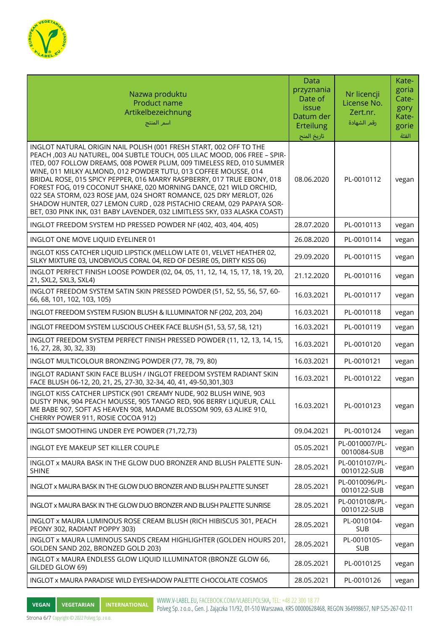

| Nazwa produktu<br>Product name<br>Artikelbezeichnung<br>أسم المنتج                                                                                                                                                                                                                                                                                                                                                                                                                                                                                                                                                                                                       | <b>Data</b><br>przyznania<br>Date of<br>issue<br>Datum der<br>Erteilung<br>تاريخ المنح | Nr licencji<br>License No.<br>Zert.nr.<br>رقم الشهادة | Kate-<br>goria<br>Cate-<br>gory<br>Kate-<br>gorie<br>الفئة |
|--------------------------------------------------------------------------------------------------------------------------------------------------------------------------------------------------------------------------------------------------------------------------------------------------------------------------------------------------------------------------------------------------------------------------------------------------------------------------------------------------------------------------------------------------------------------------------------------------------------------------------------------------------------------------|----------------------------------------------------------------------------------------|-------------------------------------------------------|------------------------------------------------------------|
| INGLOT NATURAL ORIGIN NAIL POLISH (001 FRESH START, 002 OFF TO THE<br>PEACH, 003 AU NATUREL, 004 SUBTLE TOUCH, 005 LILAC MOOD, 006 FREE - SPIR-<br>ITED, 007 FOLLOW DREAMS, 008 POWER PLUM, 009 TIMELESS RED, 010 SUMMER<br>WINE, 011 MILKY ALMOND, 012 POWDER TUTU, 013 COFFEE MOUSSE, 014<br>BRIDAL ROSE, 015 SPICY PEPPER, 016 MARRY RASPBERRY, 017 TRUE EBONY, 018<br>FOREST FOG, 019 COCONUT SHAKE, 020 MORNING DANCE, 021 WILD ORCHID,<br>022 SEA STORM, 023 ROSE JAM, 024 SHORT ROMANCE, 025 DRY MERLOT, 026<br>SHADOW HUNTER, 027 LEMON CURD, 028 PISTACHIO CREAM, 029 PAPAYA SOR-<br>BET, 030 PINK INK, 031 BABY LAVENDER, 032 LIMITLESS SKY, 033 ALASKA COAST) | 08.06.2020                                                                             | PL-0010112                                            | vegan                                                      |
| INGLOT FREEDOM SYSTEM HD PRESSED POWDER NF (402, 403, 404, 405)                                                                                                                                                                                                                                                                                                                                                                                                                                                                                                                                                                                                          | 28.07.2020                                                                             | PL-0010113                                            | vegan                                                      |
| INGLOT ONE MOVE LIQUID EYELINER 01                                                                                                                                                                                                                                                                                                                                                                                                                                                                                                                                                                                                                                       | 26.08.2020                                                                             | PL-0010114                                            | vegan                                                      |
| INGLOT KISS CATCHER LIQUID LIPSTICK (MELLOW LATE 01, VELVET HEATHER 02,<br>SILKY MIXTURE 03, UNOBVIOUS CORAL 04, RED OF DESIRE 05, DIRTY KISS 06)                                                                                                                                                                                                                                                                                                                                                                                                                                                                                                                        | 29.09.2020                                                                             | PL-0010115                                            | vegan                                                      |
| INGLOT PERFECT FINISH LOOSE POWDER (02, 04, 05, 11, 12, 14, 15, 17, 18, 19, 20,<br>21, SXL2, SXL3, SXL4)                                                                                                                                                                                                                                                                                                                                                                                                                                                                                                                                                                 | 21.12.2020                                                                             | PL-0010116                                            | vegan                                                      |
| INGLOT FREEDOM SYSTEM SATIN SKIN PRESSED POWDER (51, 52, 55, 56, 57, 60-<br>66, 68, 101, 102, 103, 105)                                                                                                                                                                                                                                                                                                                                                                                                                                                                                                                                                                  | 16.03.2021                                                                             | PL-0010117                                            | vegan                                                      |
| INGLOT FREEDOM SYSTEM FUSION BLUSH & ILLUMINATOR NF (202, 203, 204)                                                                                                                                                                                                                                                                                                                                                                                                                                                                                                                                                                                                      | 16.03.2021                                                                             | PL-0010118                                            | vegan                                                      |
| INGLOT FREEDOM SYSTEM LUSCIOUS CHEEK FACE BLUSH (51, 53, 57, 58, 121)                                                                                                                                                                                                                                                                                                                                                                                                                                                                                                                                                                                                    | 16.03.2021                                                                             | PL-0010119                                            | vegan                                                      |
| INGLOT FREEDOM SYSTEM PERFECT FINISH PRESSED POWDER (11, 12, 13, 14, 15,<br>16, 27, 28, 30, 32, 33)                                                                                                                                                                                                                                                                                                                                                                                                                                                                                                                                                                      | 16.03.2021                                                                             | PL-0010120                                            | vegan                                                      |
| INGLOT MULTICOLOUR BRONZING POWDER (77, 78, 79, 80)                                                                                                                                                                                                                                                                                                                                                                                                                                                                                                                                                                                                                      | 16.03.2021                                                                             | PL-0010121                                            | vegan                                                      |
| INGLOT RADIANT SKIN FACE BLUSH / INGLOT FREEDOM SYSTEM RADIANT SKIN<br>FACE BLUSH 06-12, 20, 21, 25, 27-30, 32-34, 40, 41, 49-50, 301, 303                                                                                                                                                                                                                                                                                                                                                                                                                                                                                                                               | 16.03.2021                                                                             | PL-0010122                                            | vegan                                                      |
| INGLOT KISS CATCHER LIPSTICK (901 CREAMY NUDE, 902 BLUSH WINE, 903<br>DUSTY PINK, 904 PEACH MOUSSE, 905 TANGO RED, 906 BERRY LIQUEUR, CALL<br>ME BABE 907, SOFT AS HEAVEN 908, MADAME BLOSSOM 909, 63 ALIKE 910,<br>CHERRY POWER 911, ROSIE COCOA 912)                                                                                                                                                                                                                                                                                                                                                                                                                   | 16.03.2021                                                                             | PL-0010123                                            | vegan                                                      |
| INGLOT SMOOTHING UNDER EYE POWDER (71,72,73)                                                                                                                                                                                                                                                                                                                                                                                                                                                                                                                                                                                                                             | 09.04.2021                                                                             | PL-0010124                                            | vegan                                                      |
| INGLOT EYE MAKEUP SET KILLER COUPLE                                                                                                                                                                                                                                                                                                                                                                                                                                                                                                                                                                                                                                      | 05.05.2021                                                                             | PL-0010007/PL-<br>0010084-SUB                         | vegan                                                      |
| INGLOT x MAURA BASK IN THE GLOW DUO BRONZER AND BLUSH PALETTE SUN-<br><b>SHINE</b>                                                                                                                                                                                                                                                                                                                                                                                                                                                                                                                                                                                       | 28.05.2021                                                                             | PL-0010107/PL-<br>0010122-SUB                         | vegan                                                      |
| INGLOT x MAURA BASK IN THE GLOW DUO BRONZER AND BLUSH PALETTE SUNSET                                                                                                                                                                                                                                                                                                                                                                                                                                                                                                                                                                                                     | 28.05.2021                                                                             | PL-0010096/PL-<br>0010122-SUB                         | vegan                                                      |
| INGLOT x MAURA BASK IN THE GLOW DUO BRONZER AND BLUSH PALETTE SUNRISE                                                                                                                                                                                                                                                                                                                                                                                                                                                                                                                                                                                                    | 28.05.2021                                                                             | PL-0010108/PL-<br>0010122-SUB                         | vegan                                                      |
| INGLOT x MAURA LUMINOUS ROSE CREAM BLUSH (RICH HIBISCUS 301, PEACH<br>PEONY 302, RADIANT POPPY 303)                                                                                                                                                                                                                                                                                                                                                                                                                                                                                                                                                                      | 28.05.2021                                                                             | PL-0010104-<br><b>SUB</b>                             | vegan                                                      |
| INGLOT x MAURA LUMINOUS SANDS CREAM HIGHLIGHTER (GOLDEN HOURS 201,<br>GOLDEN SAND 202, BRONZED GOLD 203)                                                                                                                                                                                                                                                                                                                                                                                                                                                                                                                                                                 | 28.05.2021                                                                             | PL-0010105-<br><b>SUB</b>                             | vegan                                                      |
| INGLOT x MAURA ENDLESS GLOW LIQUID ILLUMINATOR (BRONZE GLOW 66,<br>GILDED GLOW 69)                                                                                                                                                                                                                                                                                                                                                                                                                                                                                                                                                                                       | 28.05.2021                                                                             | PL-0010125                                            | vegan                                                      |
| INGLOT x MAURA PARADISE WILD EYESHADOW PALETTE CHOCOLATE COSMOS                                                                                                                                                                                                                                                                                                                                                                                                                                                                                                                                                                                                          | 28.05.2021                                                                             | PL-0010126                                            | vegan                                                      |